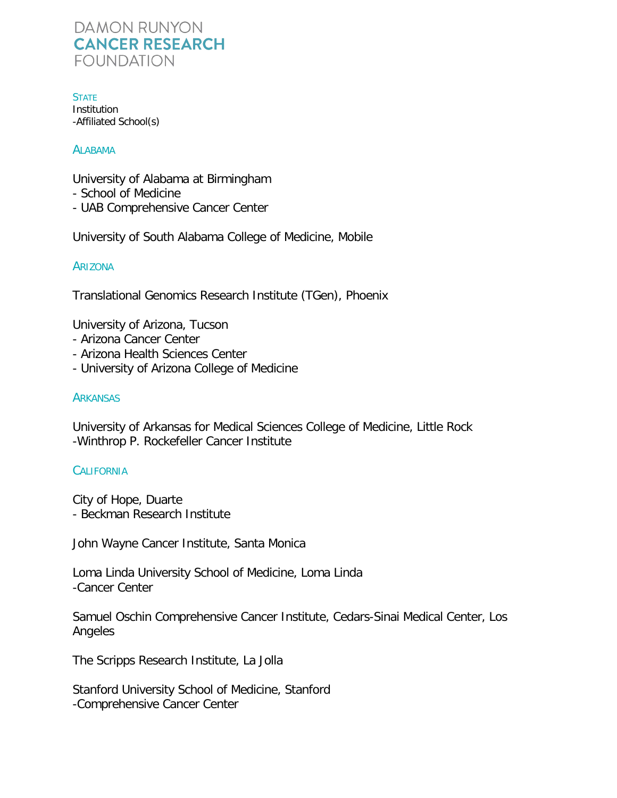**STATE Institution** -Affiliated School(s)

#### **ALABAMA**

University of Alabama at Birmingham

- School of Medicine
- UAB Comprehensive Cancer Center

University of South Alabama College of Medicine, Mobile

#### ARIZONA

Translational Genomics Research Institute (TGen), Phoenix

University of Arizona, Tucson

- Arizona Cancer Center
- Arizona Health Sciences Center
- University of Arizona College of Medicine

#### **ARKANSAS**

University of Arkansas for Medical Sciences College of Medicine, Little Rock -Winthrop P. Rockefeller Cancer Institute

#### **CALIFORNIA**

City of Hope, Duarte - Beckman Research Institute

John Wayne Cancer Institute, Santa Monica

Loma Linda University School of Medicine, Loma Linda -Cancer Center

Samuel Oschin Comprehensive Cancer Institute, Cedars-Sinai Medical Center, Los Angeles

The Scripps Research Institute, La Jolla

Stanford University School of Medicine, Stanford -Comprehensive Cancer Center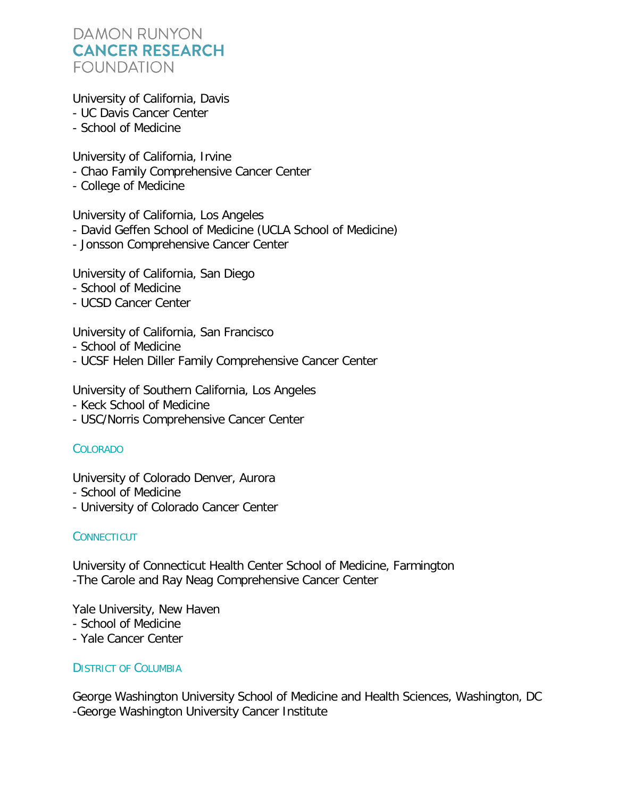University of California, Davis

- UC Davis Cancer Center
- School of Medicine

University of California, Irvine

- Chao Family Comprehensive Cancer Center
- College of Medicine

University of California, Los Angeles

- David Geffen School of Medicine (UCLA School of Medicine)
- Jonsson Comprehensive Cancer Center

University of California, San Diego

- School of Medicine
- UCSD Cancer Center

University of California, San Francisco

- School of Medicine
- UCSF Helen Diller Family Comprehensive Cancer Center

University of Southern California, Los Angeles

- Keck School of Medicine
- USC/Norris Comprehensive Cancer Center

## COLORADO

University of Colorado Denver, Aurora

- School of Medicine
- University of Colorado Cancer Center

## **CONNECTICUT**

University of Connecticut Health Center School of Medicine, Farmington -The Carole and Ray Neag Comprehensive Cancer Center

Yale University, New Haven

- School of Medicine
- Yale Cancer Center

## DISTRICT OF COLUMBIA

George Washington University School of Medicine and Health Sciences, Washington, DC -George Washington University Cancer Institute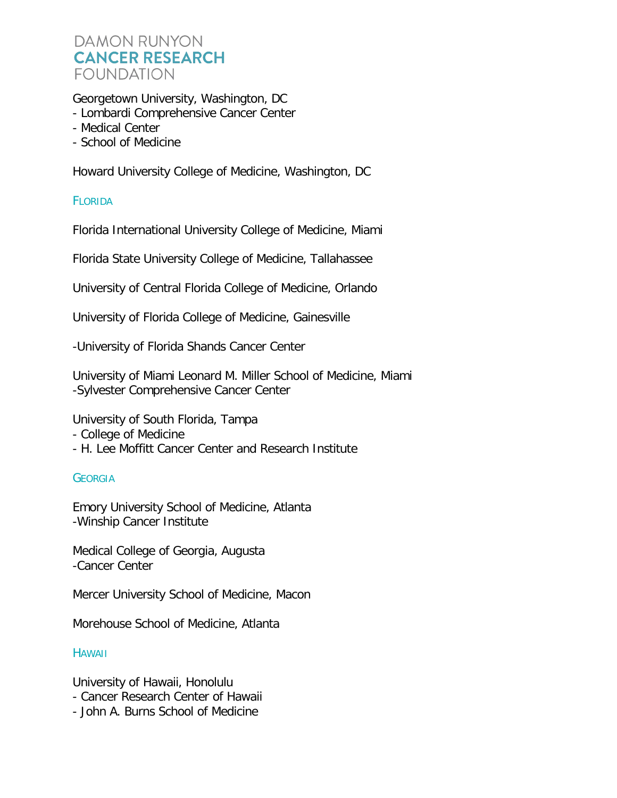Georgetown University, Washington, DC

- Lombardi Comprehensive Cancer Center
- Medical Center
- School of Medicine

Howard University College of Medicine, Washington, DC

## **FLORIDA**

Florida International University College of Medicine, Miami

Florida State University College of Medicine, Tallahassee

University of Central Florida College of Medicine, Orlando

University of Florida College of Medicine, Gainesville

-University of Florida Shands Cancer Center

University of Miami Leonard M. Miller School of Medicine, Miami -Sylvester Comprehensive Cancer Center

University of South Florida, Tampa

- College of Medicine
- H. Lee Moffitt Cancer Center and Research Institute

## **GEORGIA**

Emory University School of Medicine, Atlanta -Winship Cancer Institute

Medical College of Georgia, Augusta -Cancer Center

Mercer University School of Medicine, Macon

Morehouse School of Medicine, Atlanta

## **HAWAII**

University of Hawaii, Honolulu

- Cancer Research Center of Hawaii
- John A. Burns School of Medicine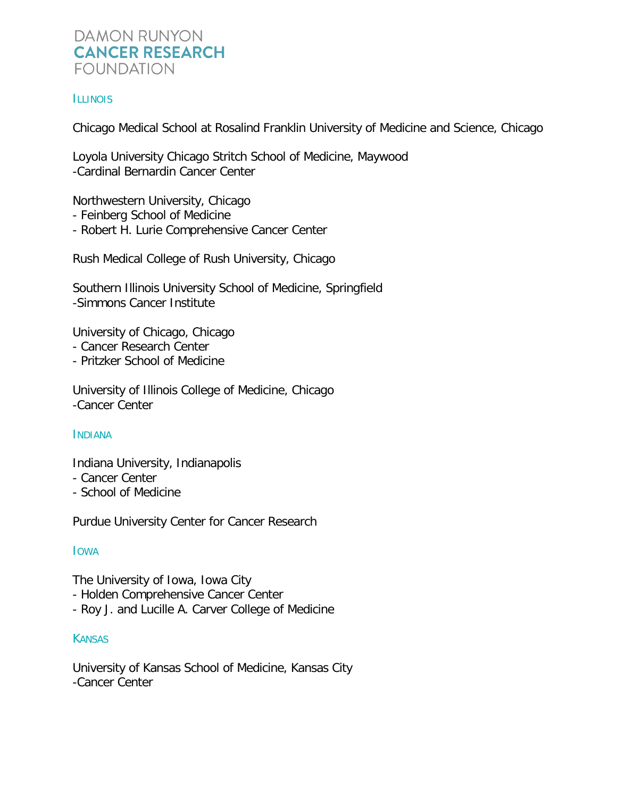## **ILLINOIS**

Chicago Medical School at Rosalind Franklin University of Medicine and Science, Chicago

Loyola University Chicago Stritch School of Medicine, Maywood -Cardinal Bernardin Cancer Center

Northwestern University, Chicago

- Feinberg School of Medicine
- Robert H. Lurie Comprehensive Cancer Center

Rush Medical College of Rush University, Chicago

Southern Illinois University School of Medicine, Springfield -Simmons Cancer Institute

University of Chicago, Chicago

- Cancer Research Center
- Pritzker School of Medicine

University of Illinois College of Medicine, Chicago -Cancer Center

## INDIANA

Indiana University, Indianapolis

- Cancer Center
- School of Medicine

Purdue University Center for Cancer Research

## IOWA

The University of Iowa, Iowa City

- Holden Comprehensive Cancer Center
- Roy J. and Lucille A. Carver College of Medicine

## **KANSAS**

University of Kansas School of Medicine, Kansas City -Cancer Center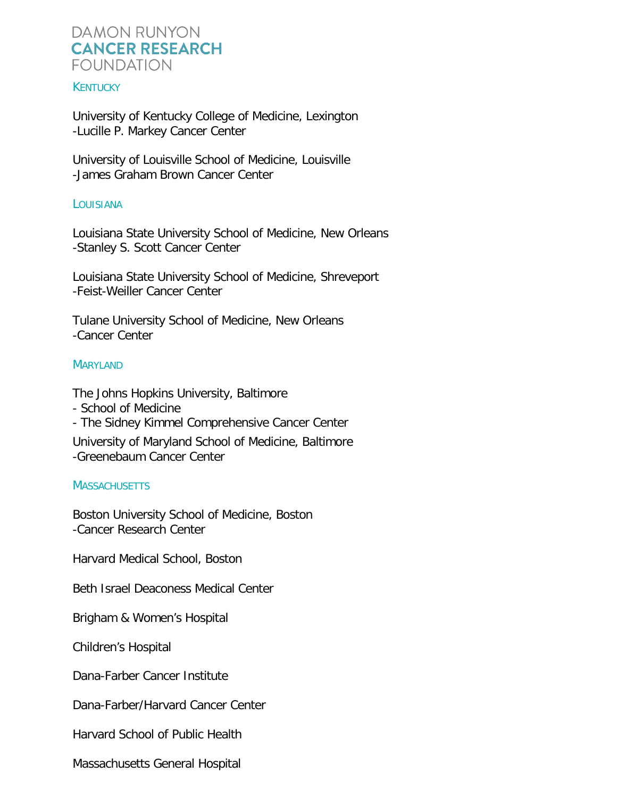#### **KENTUCKY**

University of Kentucky College of Medicine, Lexington -Lucille P. Markey Cancer Center

University of Louisville School of Medicine, Louisville -James Graham Brown Cancer Center

#### LOUISIANA

Louisiana State University School of Medicine, New Orleans -Stanley S. Scott Cancer Center

Louisiana State University School of Medicine, Shreveport -Feist-Weiller Cancer Center

Tulane University School of Medicine, New Orleans -Cancer Center

#### MARYLAND

The Johns Hopkins University, Baltimore

- School of Medicine
- The Sidney Kimmel Comprehensive Cancer Center

University of Maryland School of Medicine, Baltimore -Greenebaum Cancer Center

#### **MASSACHUSETTS**

Boston University School of Medicine, Boston -Cancer Research Center

Harvard Medical School, Boston

Beth Israel Deaconess Medical Center

Brigham & Women's Hospital

Children's Hospital

Dana-Farber Cancer Institute

Dana-Farber/Harvard Cancer Center

Harvard School of Public Health

Massachusetts General Hospital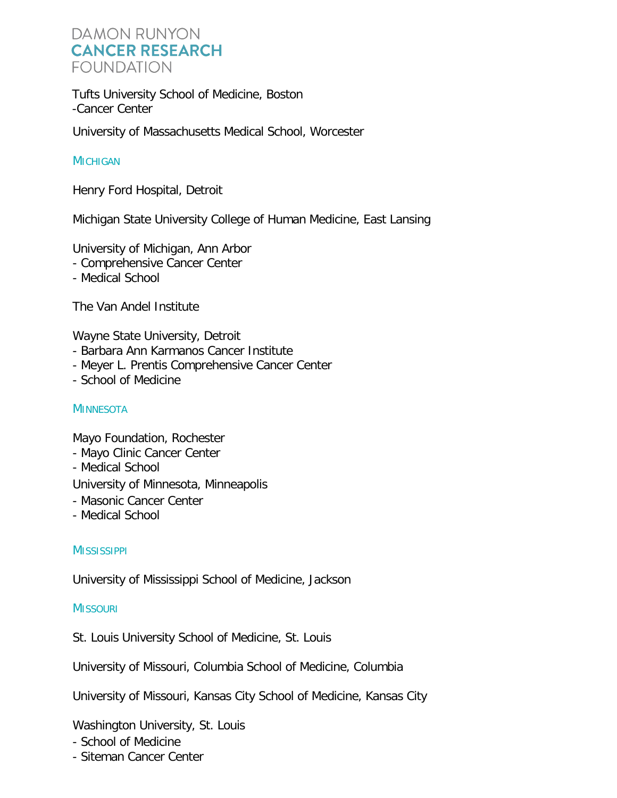Tufts University School of Medicine, Boston -Cancer Center

University of Massachusetts Medical School, Worcester

## **MICHIGAN**

Henry Ford Hospital, Detroit

Michigan State University College of Human Medicine, East Lansing

University of Michigan, Ann Arbor

- Comprehensive Cancer Center
- Medical School

The Van Andel Institute

Wayne State University, Detroit

- Barbara Ann Karmanos Cancer Institute
- Meyer L. Prentis Comprehensive Cancer Center
- School of Medicine

## **MINNESOTA**

Mayo Foundation, Rochester

- Mayo Clinic Cancer Center
- Medical School

University of Minnesota, Minneapolis

- Masonic Cancer Center
- Medical School

## **MISSISSIPPI**

University of Mississippi School of Medicine, Jackson

## **MISSOURI**

St. Louis University School of Medicine, St. Louis

University of Missouri, Columbia School of Medicine, Columbia

University of Missouri, Kansas City School of Medicine, Kansas City

Washington University, St. Louis

- School of Medicine
- Siteman Cancer Center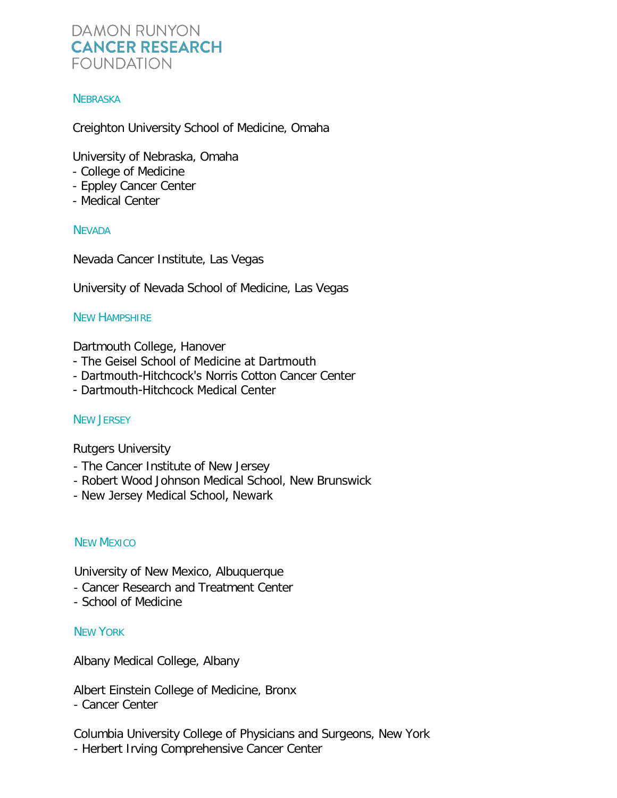## **NEBRASKA**

Creighton University School of Medicine, Omaha

University of Nebraska, Omaha

- College of Medicine
- Eppley Cancer Center
- Medical Center

## **NEVADA**

Nevada Cancer Institute, Las Vegas

University of Nevada School of Medicine, Las Vegas

## NEW HAMPSHIRE

Dartmouth College, Hanover

- The Geisel School of Medicine at Dartmouth
- Dartmouth-Hitchcock's Norris Cotton Cancer Center
- Dartmouth-Hitchcock Medical Center

## NEW JERSEY

Rutgers University

- The Cancer Institute of New Jersey
- Robert Wood Johnson Medical School, New Brunswick
- New Jersey Medical School, Newark

## NEW MEXICO

University of New Mexico, Albuquerque

- Cancer Research and Treatment Center
- School of Medicine

## NEW YORK

Albany Medical College, Albany

Albert Einstein College of Medicine, Bronx

- Cancer Center

Columbia University College of Physicians and Surgeons, New York - Herbert Irving Comprehensive Cancer Center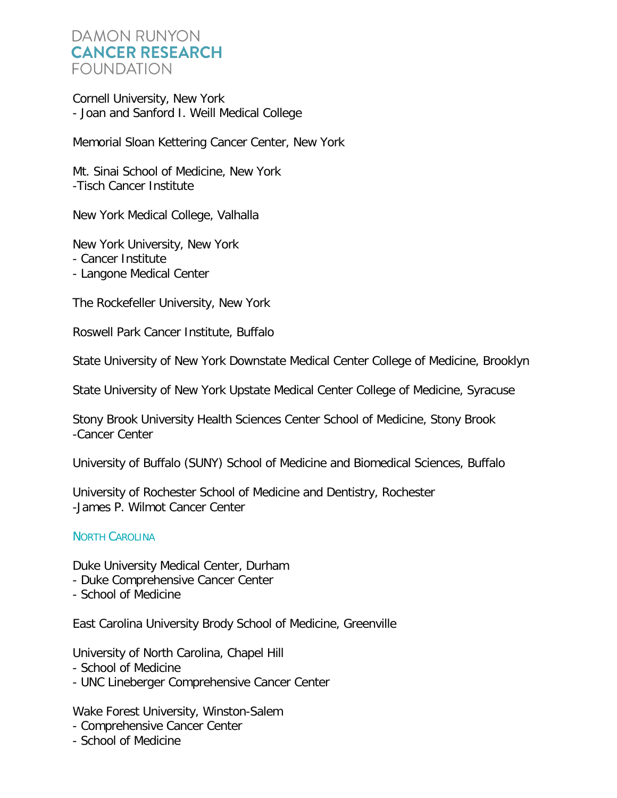Cornell University, New York - Joan and Sanford I. Weill Medical College

Memorial Sloan Kettering Cancer Center, New York

Mt. Sinai School of Medicine, New York -Tisch Cancer Institute

New York Medical College, Valhalla

New York University, New York - Cancer Institute

- Langone Medical Center

The Rockefeller University, New York

Roswell Park Cancer Institute, Buffalo

State University of New York Downstate Medical Center College of Medicine, Brooklyn

State University of New York Upstate Medical Center College of Medicine, Syracuse

Stony Brook University Health Sciences Center School of Medicine, Stony Brook -Cancer Center

University of Buffalo (SUNY) School of Medicine and Biomedical Sciences, Buffalo

University of Rochester School of Medicine and Dentistry, Rochester -James P. Wilmot Cancer Center

## NORTH CAROLINA

Duke University Medical Center, Durham

- Duke Comprehensive Cancer Center
- School of Medicine

East Carolina University Brody School of Medicine, Greenville

University of North Carolina, Chapel Hill

- School of Medicine
- UNC Lineberger Comprehensive Cancer Center

Wake Forest University, Winston-Salem

- Comprehensive Cancer Center
- School of Medicine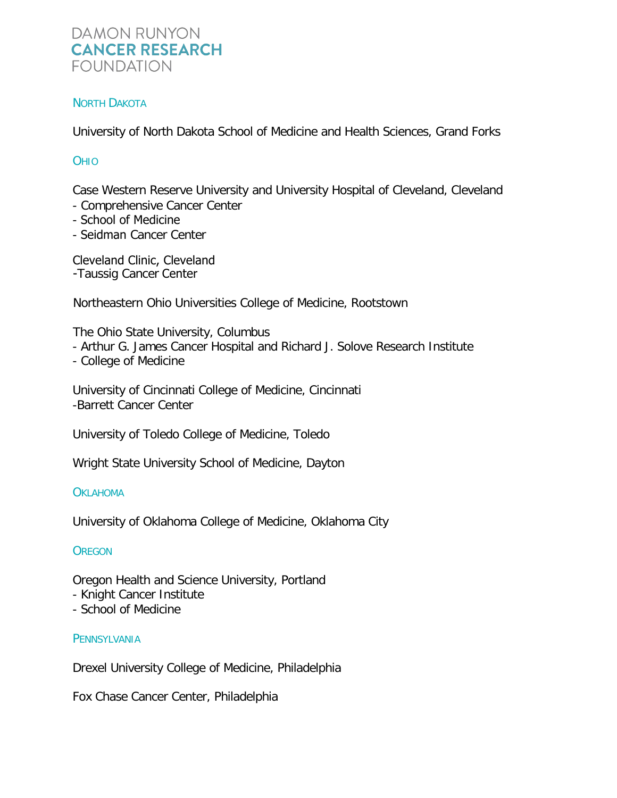## NORTH DAKOTA

University of North Dakota School of Medicine and Health Sciences, Grand Forks

## **OHIO**

Case Western Reserve University and University Hospital of Cleveland, Cleveland

- Comprehensive Cancer Center
- School of Medicine
- Seidman Cancer Center

-Taussig Cancer Center Cleveland Clinic, Cleveland

Northeastern Ohio Universities College of Medicine, Rootstown

The Ohio State University, Columbus

- Arthur G. James Cancer Hospital and Richard J. Solove Research Institute
- College of Medicine

University of Cincinnati College of Medicine, Cincinnati -Barrett Cancer Center

University of Toledo College of Medicine, Toledo

Wright State University School of Medicine, Dayton

## **OKLAHOMA**

University of Oklahoma College of Medicine, Oklahoma City

## **OREGON**

Oregon Health and Science University, Portland

- Knight Cancer Institute
- School of Medicine

## **PENNSYLVANIA**

Drexel University College of Medicine, Philadelphia

Fox Chase Cancer Center, Philadelphia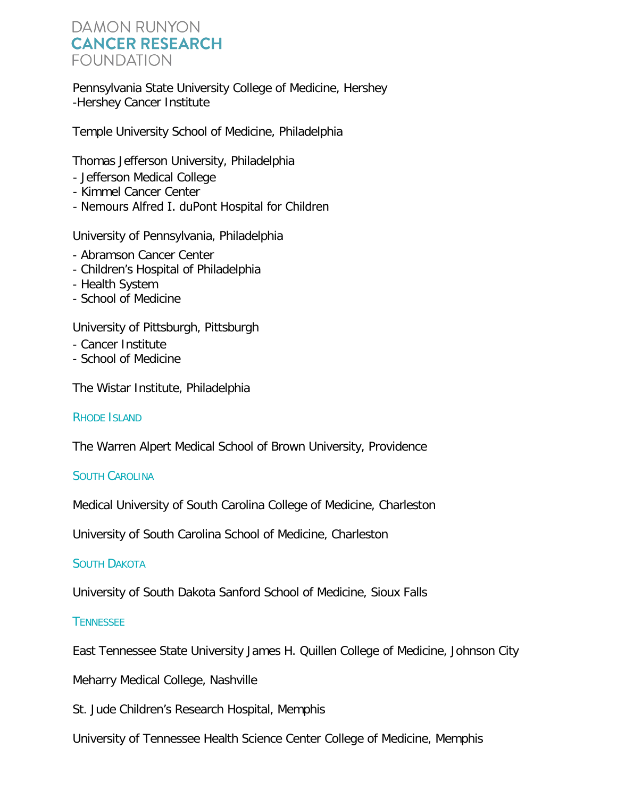Pennsylvania State University College of Medicine, Hershey -Hershey Cancer Institute

Temple University School of Medicine, Philadelphia

Thomas Jefferson University, Philadelphia

- Jefferson Medical College
- Kimmel Cancer Center
- Nemours Alfred I. duPont Hospital for Children

University of Pennsylvania, Philadelphia

- Abramson Cancer Center
- Children's Hospital of Philadelphia
- Health System
- School of Medicine

University of Pittsburgh, Pittsburgh

- Cancer Institute
- School of Medicine

The Wistar Institute, Philadelphia

RHODE ISLAND

The Warren Alpert Medical School of Brown University, Providence

## SOUTH CAROLINA

Medical University of South Carolina College of Medicine, Charleston

University of South Carolina School of Medicine, Charleston

## SOUTH DAKOTA

University of South Dakota Sanford School of Medicine, Sioux Falls

**TENNESSEE** 

East Tennessee State University James H. Quillen College of Medicine, Johnson City

Meharry Medical College, Nashville

St. Jude Children's Research Hospital, Memphis

University of Tennessee Health Science Center College of Medicine, Memphis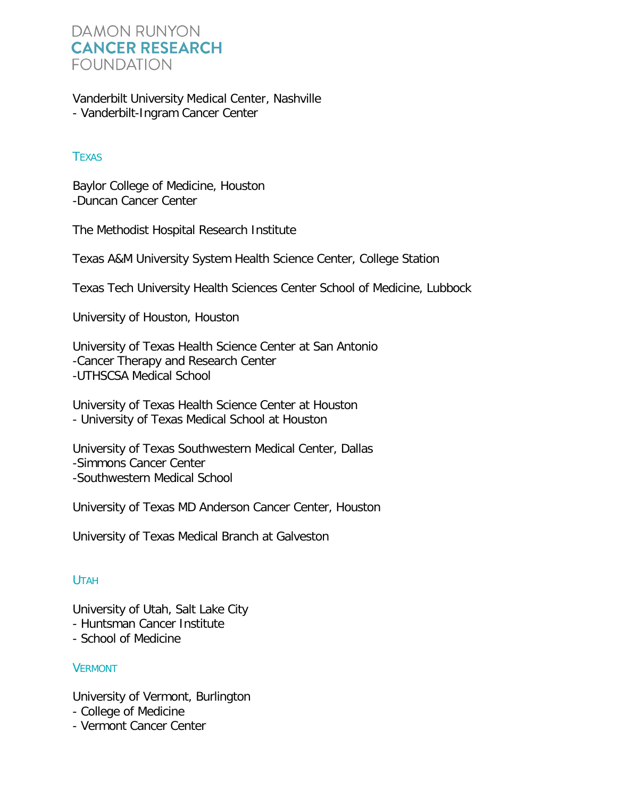Vanderbilt University Medical Center, Nashville - Vanderbilt-Ingram Cancer Center

## **TEXAS**

Baylor College of Medicine, Houston -Duncan Cancer Center

The Methodist Hospital Research Institute

Texas A&M University System Health Science Center, College Station

Texas Tech University Health Sciences Center School of Medicine, Lubbock

University of Houston, Houston

University of Texas Health Science Center at San Antonio -Cancer Therapy and Research Center -UTHSCSA Medical School

University of Texas Health Science Center at Houston - University of Texas Medical School at Houston

University of Texas Southwestern Medical Center, Dallas -Simmons Cancer Center -Southwestern Medical School

University of Texas MD Anderson Cancer Center, Houston

University of Texas Medical Branch at Galveston

## UTAH

University of Utah, Salt Lake City

- Huntsman Cancer Institute

- School of Medicine

## **VERMONT**

University of Vermont, Burlington

- College of Medicine
- Vermont Cancer Center